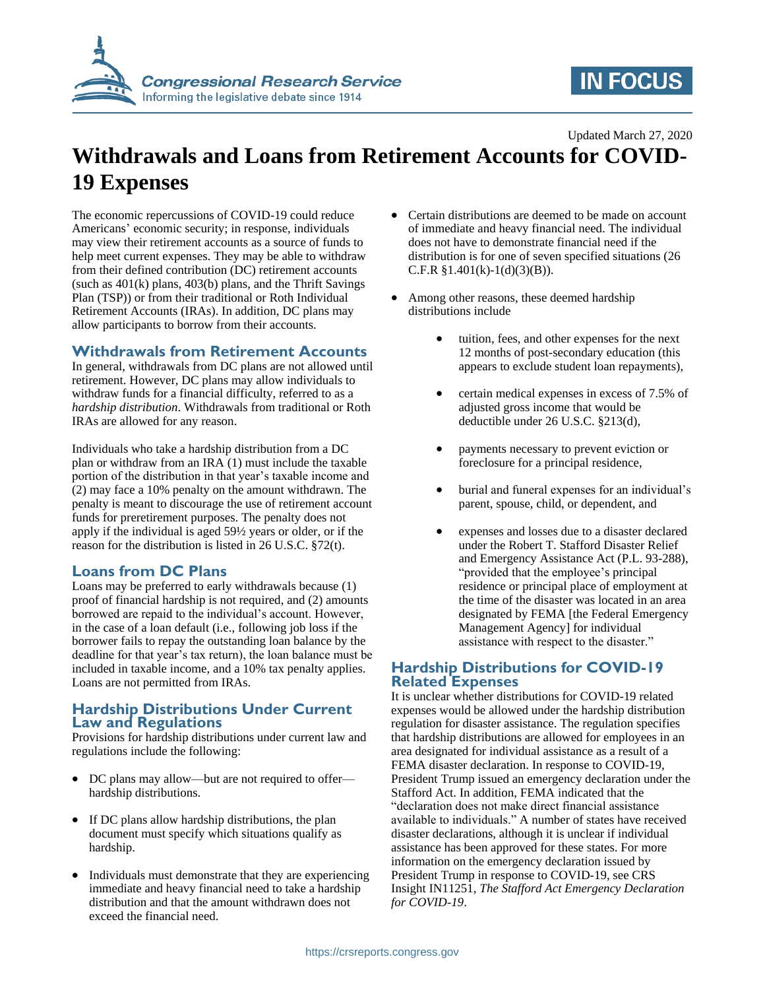

# **IN FOCUS**

#### Updated March 27, 2020

## **Withdrawals and Loans from Retirement Accounts for COVID-19 Expenses**

The economic repercussions of COVID-19 could reduce Americans' economic security; in response, individuals may view their retirement accounts as a source of funds to help meet current expenses. They may be able to withdraw from their defined contribution (DC) retirement accounts (such as  $401(k)$  plans,  $403(b)$  plans, and the Thrift Savings Plan (TSP)) or from their traditional or Roth Individual Retirement Accounts (IRAs). In addition, DC plans may allow participants to borrow from their accounts.

#### **Withdrawals from Retirement Accounts**

In general, withdrawals from DC plans are not allowed until retirement. However, DC plans may allow individuals to withdraw funds for a financial difficulty, referred to as a *hardship distribution*. Withdrawals from traditional or Roth IRAs are allowed for any reason.

Individuals who take a hardship distribution from a DC plan or withdraw from an IRA (1) must include the taxable portion of the distribution in that year's taxable income and (2) may face a 10% penalty on the amount withdrawn. The penalty is meant to discourage the use of retirement account funds for preretirement purposes. The penalty does not apply if the individual is aged 59½ years or older, or if the reason for the distribution is listed in 26 U.S.C. §72(t).

### **Loans from DC Plans**

Loans may be preferred to early withdrawals because (1) proof of financial hardship is not required, and (2) amounts borrowed are repaid to the individual's account. However, in the case of a loan default (i.e., following job loss if the borrower fails to repay the outstanding loan balance by the deadline for that year's tax return), the loan balance must be included in taxable income, and a 10% tax penalty applies. Loans are not permitted from IRAs.

#### **Hardship Distributions Under Current Law and Regulations**

Provisions for hardship distributions under current law and regulations include the following:

- DC plans may allow—but are not required to offer hardship distributions.
- If DC plans allow hardship distributions, the plan document must specify which situations qualify as hardship.
- Individuals must demonstrate that they are experiencing immediate and heavy financial need to take a hardship distribution and that the amount withdrawn does not exceed the financial need.
- Certain distributions are deemed to be made on account of immediate and heavy financial need. The individual does not have to demonstrate financial need if the distribution is for one of seven specified situations (26 C.F.R  $§1.401(k)-1(d)(3)(B)$ .
- Among other reasons, these deemed hardship distributions include
	- tuition, fees, and other expenses for the next 12 months of post-secondary education (this appears to exclude student loan repayments),
	- certain medical expenses in excess of 7.5% of adjusted gross income that would be deductible under 26 U.S.C. §213(d),
	- payments necessary to prevent eviction or foreclosure for a principal residence,
	- burial and funeral expenses for an individual's parent, spouse, child, or dependent, and
	- expenses and losses due to a disaster declared under the Robert T. Stafford Disaster Relief and Emergency Assistance Act (P.L. 93-288), "provided that the employee's principal residence or principal place of employment at the time of the disaster was located in an area designated by FEMA [the Federal Emergency Management Agency] for individual assistance with respect to the disaster."

#### **Hardship Distributions for COVID-19 Related Expenses**

It is unclear whether distributions for COVID-19 related expenses would be allowed under the hardship distribution regulation for disaster assistance. The regulation specifies that hardship distributions are allowed for employees in an area designated for individual assistance as a result of a FEMA disaster declaration. In response to COVID-19, President Trump issued an emergency declaration under the Stafford Act. In addition, FEMA indicated that the "declaration does not make direct financial assistance available to individuals." A number of states have received disaster declarations, although it is unclear if individual assistance has been approved for these states. For more information on the emergency declaration issued by President Trump in response to COVID-19, see CRS Insight IN11251, *The Stafford Act Emergency Declaration for COVID-19*.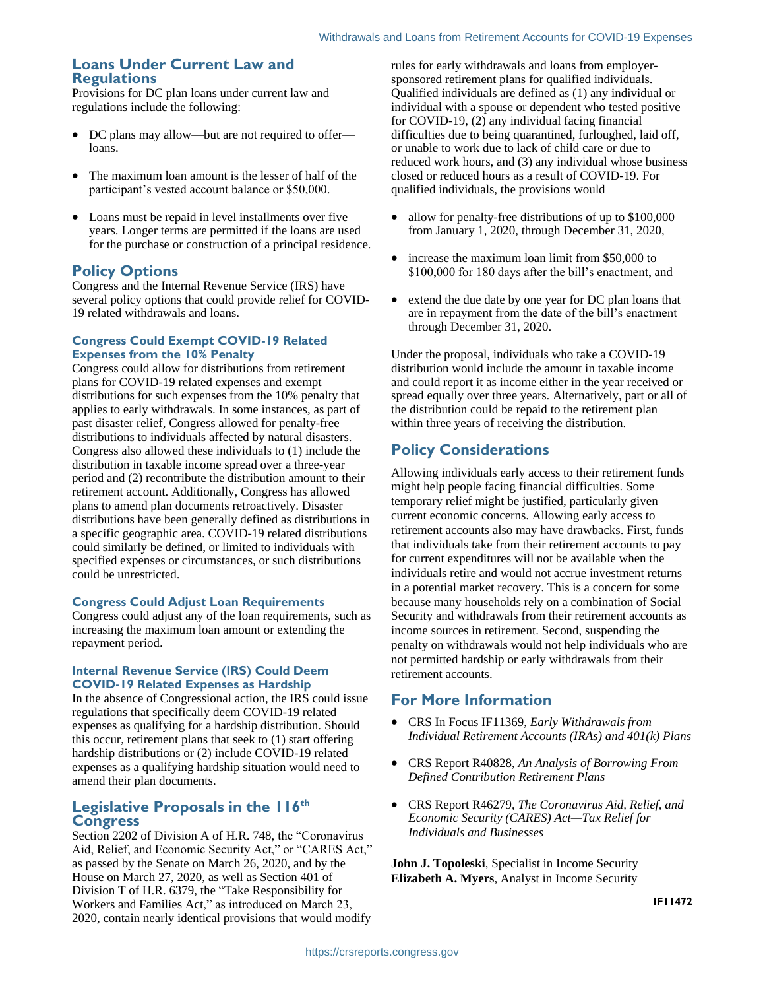#### **Loans Under Current Law and Regulations**

Provisions for DC plan loans under current law and regulations include the following:

- DC plans may allow—but are not required to offer loans.
- The maximum loan amount is the lesser of half of the participant's vested account balance or \$50,000.
- Loans must be repaid in level installments over five years. Longer terms are permitted if the loans are used for the purchase or construction of a principal residence.

### **Policy Options**

Congress and the Internal Revenue Service (IRS) have several policy options that could provide relief for COVID-19 related withdrawals and loans.

#### **Congress Could Exempt COVID-19 Related Expenses from the 10% Penalty**

Congress could allow for distributions from retirement plans for COVID-19 related expenses and exempt distributions for such expenses from the 10% penalty that applies to early withdrawals. In some instances, as part of past disaster relief, Congress allowed for penalty-free distributions to individuals affected by natural disasters. Congress also allowed these individuals to (1) include the distribution in taxable income spread over a three-year period and (2) recontribute the distribution amount to their retirement account. Additionally, Congress has allowed plans to amend plan documents retroactively. Disaster distributions have been generally defined as distributions in a specific geographic area. COVID-19 related distributions could similarly be defined, or limited to individuals with specified expenses or circumstances, or such distributions could be unrestricted.

#### **Congress Could Adjust Loan Requirements**

Congress could adjust any of the loan requirements, such as increasing the maximum loan amount or extending the repayment period.

#### **Internal Revenue Service (IRS) Could Deem COVID-19 Related Expenses as Hardship**

In the absence of Congressional action, the IRS could issue regulations that specifically deem COVID-19 related expenses as qualifying for a hardship distribution. Should this occur, retirement plans that seek to (1) start offering hardship distributions or (2) include COVID-19 related expenses as a qualifying hardship situation would need to amend their plan documents.

#### **Legislative Proposals in the 116th Congress**

Section 2202 of Division A of H.R. 748, the "Coronavirus Aid, Relief, and Economic Security Act," or "CARES Act," as passed by the Senate on March 26, 2020, and by the House on March 27, 2020, as well as Section 401 of Division T of H.R. 6379, the "Take Responsibility for Workers and Families Act," as introduced on March 23, 2020, contain nearly identical provisions that would modify rules for early withdrawals and loans from employersponsored retirement plans for qualified individuals. Qualified individuals are defined as (1) any individual or individual with a spouse or dependent who tested positive for COVID-19, (2) any individual facing financial difficulties due to being quarantined, furloughed, laid off, or unable to work due to lack of child care or due to reduced work hours, and (3) any individual whose business closed or reduced hours as a result of COVID-19. For qualified individuals, the provisions would

- allow for penalty-free distributions of up to \$100,000 from January 1, 2020, through December 31, 2020,
- increase the maximum loan limit from \$50,000 to \$100,000 for 180 days after the bill's enactment, and
- extend the due date by one year for DC plan loans that are in repayment from the date of the bill's enactment through December 31, 2020.

Under the proposal, individuals who take a COVID-19 distribution would include the amount in taxable income and could report it as income either in the year received or spread equally over three years. Alternatively, part or all of the distribution could be repaid to the retirement plan within three years of receiving the distribution.

## **Policy Considerations**

Allowing individuals early access to their retirement funds might help people facing financial difficulties. Some temporary relief might be justified, particularly given current economic concerns. Allowing early access to retirement accounts also may have drawbacks. First, funds that individuals take from their retirement accounts to pay for current expenditures will not be available when the individuals retire and would not accrue investment returns in a potential market recovery. This is a concern for some because many households rely on a combination of Social Security and withdrawals from their retirement accounts as income sources in retirement. Second, suspending the penalty on withdrawals would not help individuals who are not permitted hardship or early withdrawals from their retirement accounts.

## **For More Information**

- CRS In Focus IF11369, *Early Withdrawals from Individual Retirement Accounts (IRAs) and 401(k) Plans*
- CRS Report R40828, *An Analysis of Borrowing From Defined Contribution Retirement Plans*
- CRS Report R46279, *The Coronavirus Aid, Relief, and Economic Security (CARES) Act—Tax Relief for Individuals and Businesses*

**John J. Topoleski**, Specialist in Income Security **Elizabeth A. Myers**, Analyst in Income Security